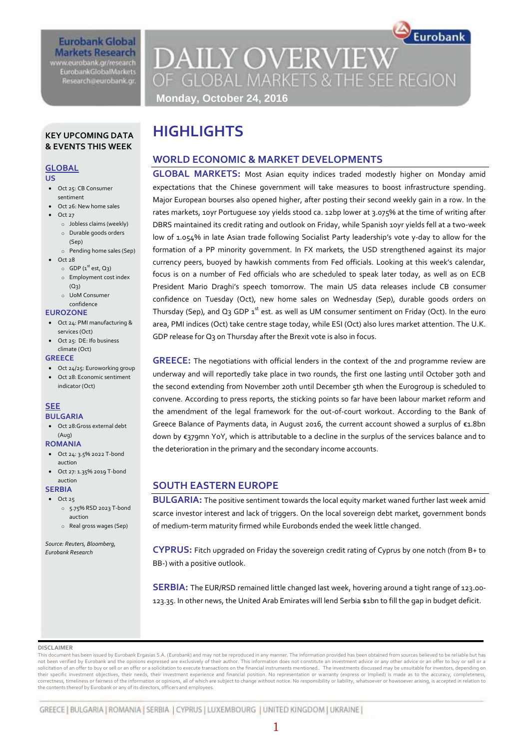### **Eurobank Global Markets Research** www.eurobank.gr/research

**EurobankGlobalMarkets** Research@eurobank.gr

# **DAILY OVERVIEW** OF GLOBAL MARKETS & THE SEE REGION **Monday, October 24, 2016**

Eurobank

### **KEY UPCOMING DATA & EVENTS THIS WEEK**

### **GLOBAL**

**US** 

- Oct 25: CB Consumer
- sentiment Oct 26: New home sales
- Oct 27
	- o Jobless claims (weekly)
	- o Durable goods orders (Sep) o Pending home sales (Sep)
- Oct 28
	- $\circ$  GDP (1<sup>st</sup> est, Q<sub>3</sub>)
	- o Employment cost index  $(Q_3)$
	- o UoM Consumer confidence

### **EUROZONE**

- Oct 24: PMI manufacturing & services (Oct)
- Oct 25: DE: Ifo business climate (Oct)

### **GREECE**

- Oct 24/25: Euroworking group
- Oct 28: Economic sentiment indicator (Oct)

### **SEE BULGARIA**

 Oct 28:Gross external debt (Aug)

# **ROMANIA**

- Oct 24: 3.5% 2022 T-bond auction
- Oct 27: 1.35% 2019 T-bond auction

### **SERBIA**

- $\bullet$  Oct 25
	- o 5.75% RSD 2023 T-bond auction
	- o Real gross wages (Sep)

*Source: Reuters, Bloomberg, Eurobank Research*

# **HIGHLIGHTS**

# **WORLD ECONOMIC & MARKET DEVELOPMENTS**

**GLOBAL MARKETS:** Most Asian equity indices traded modestly higher on Monday amid expectations that the Chinese government will take measures to boost infrastructure spending. Major European bourses also opened higher, after posting their second weekly gain in a row. In the rates markets, 10yr Portuguese 10y yields stood ca. 12bp lower at 3.075% at the time of writing after DBRS maintained its credit rating and outlook on Friday, while Spanish 10yr yields fell at a two-week low of 1.054% in late Asian trade following Socialist Party leadership's vote y-day to allow for the formation of a PP minority government. In FX markets, the USD strengthened against its major currency peers, buoyed by hawkish comments from Fed officials. Looking at this week's calendar, focus is on a number of Fed officials who are scheduled to speak later today, as well as on ECB President Mario Draghi's speech tomorrow. The main US data releases include CB consumer confidence on Tuesday (Oct), new home sales on Wednesday (Sep), durable goods orders on Thursday (Sep), and Q3 GDP  $1^{st}$  est. as well as UM consumer sentiment on Friday (Oct). In the euro area, PMI indices (Oct) take centre stage today, while ESI (Oct) also lures market attention. The U.K. GDP release for Q<sub>3</sub> on Thursday after the Brexit vote is also in focus.

**GREECE:** The negotiations with official lenders in the context of the 2nd programme review are underway and will reportedly take place in two rounds, the first one lasting until October 3oth and the second extending from November 20th until December 5th when the Eurogroup is scheduled to convene. According to press reports, the sticking points so far have been labour market reform and the amendment of the legal framework for the out-of-court workout. According to the Bank of Greece Balance of Payments data, in August 2016, the current account showed a surplus of €1.8bn down by €379mn YoY, which is attributable to a decline in the surplus of the services balance and to the deterioration in the primary and the secondary income accounts.

# **SOUTH EASTERN EUROPE**

**BULGARIA:** The positive sentiment towards the local equity market waned further last week amid scarce investor interest and lack of triggers. On the local sovereign debt market, government bonds of medium-term maturity firmed while Eurobonds ended the week little changed.

**CYPRUS:** Fitch upgraded on Friday the sovereign credit rating of Cyprus by one notch (from B+ to BB-) with a positive outlook.

**SERBIA:** The EUR/RSD remained little changed last week, hovering around a tight range of 123.00- 123.35. In other news, the United Arab Emirates will lend Serbia \$1bn to fill the gap in budget deficit.

### **DISCLAIMER**

This document has been issued by Eurobank Ergasias S.A. (Eurobank) and may not be reproduced in any manner. The information provided has been obtained from sources believed to be reliable but has not been verified by Eurobank and the opinions expressed are exclusively of their author. This information does not constitute an investment advice or any other advice or an offer to buy or sell or a solicitation of an offer to buy or sell or an offer or a solicitation to execute transactions on the financial instruments mentioned.. The investments discussed may be unsuitable for investors, depending on<br>their specific correctness, timeliness or fairness of the information or opinions, all of which are subject to change without notice. No responsibility or liability, whatsoever or howsoever arising, is accepted in relation to the contents thereof by Eurobank or any of its directors, officers and employees.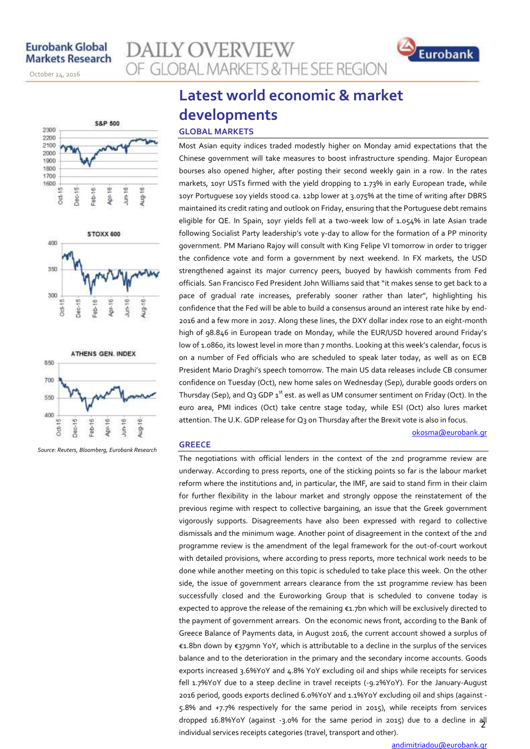October 24, 2016

November 14, 2013







*Source: Reuters, Bloomberg, Eurobank Research*

# **Latest world economic & market developments**

OF GLOBAL MARKETS & THE SEE REGION

### **GLOBAL MARKETS**

**AILY OVERVIEW** 

Most Asian equity indices traded modestly higher on Monday amid expectations that the Chinese government will take measures to boost infrastructure spending. Major European bourses also opened higher, after posting their second weekly gain in a row. In the rates markets, 10yr USTs firmed with the yield dropping to 1.73% in early European trade, while 10yr Portuguese 10y yields stood ca. 12bp lower at 3.075% at the time of writing after DBRS maintained its credit rating and outlook on Friday, ensuring that the Portuguese debt remains eligible for QE. In Spain, 10yr yields fell at a two-week low of 1.054% in late Asian trade following Socialist Party leadership's vote y-day to allow for the formation of a PP minority government. PM Mariano Rajoy will consult with King Felipe VI tomorrow in order to trigger the confidence vote and form a government by next weekend. In FX markets, the USD strengthened against its major currency peers, buoyed by hawkish comments from Fed officials. San Francisco Fed President John Williams said that "it makes sense to get back to a pace of gradual rate increases, preferably sooner rather than later", highlighting his confidence that the Fed will be able to build a consensus around an interest rate hike by end-2016 and a few more in 2017. Along these lines, the DXY dollar index rose to an eight-month high of 98.846 in European trade on Monday, while the EUR/USD hovered around Friday's low of 1.0860, its lowest level in more than 7 months. Looking at this week's calendar, focus is on a number of Fed officials who are scheduled to speak later today, as well as on ECB President Mario Draghi's speech tomorrow. The main US data releases include CB consumer confidence on Tuesday (Oct), new home sales on Wednesday (Sep), durable goods orders on Thursday (Sep), and Q3 GDP  $\textbf{1}^{\text{st}}$  est. as well as UM consumer sentiment on Friday (Oct). In the euro area, PMI indices (Oct) take centre stage today, while ESI (Oct) also lures market attention. The U.K. GDP release for Q3 on Thursday after the Brexit vote is also in focus.

### [okosma@eurobank.gr](mailto:okosma@eurobank.gr)

Eurobank

### **GREECE**

2 dropped 16.8%YoY (against -3.0% for the same period in 2015) due to a decline in all The negotiations with official lenders in the context of the 2nd programme review are underway. According to press reports, one of the sticking points so far is the labour market reform where the institutions and, in particular, the IMF, are said to stand firm in their claim for further flexibility in the labour market and strongly oppose the reinstatement of the previous regime with respect to collective bargaining, an issue that the Greek government vigorously supports. Disagreements have also been expressed with regard to collective dismissals and the minimum wage. Another point of disagreement in the context of the 2nd programme review is the amendment of the legal framework for the out-of-court workout with detailed provisions, where according to press reports, more technical work needs to be done while another meeting on this topic is scheduled to take place this week. On the other side, the issue of government arrears clearance from the 1st programme review has been successfully closed and the Euroworking Group that is scheduled to convene today is expected to approve the release of the remaining €1.7bn which will be exclusively directed to the payment of government arrears. On the economic news front, according to the Bank of Greece Balance of Payments data, in August 2016, the current account showed a surplus of €1.8bn down by €379mn YoY, which is attributable to a decline in the surplus of the services balance and to the deterioration in the primary and the secondary income accounts. Goods exports increased 3.6%YoY and 4.8% YoY excluding oil and ships while receipts for services fell 1.7%YoY due to a steep decline in travel receipts (-9.2%YoY). For the January-August 2016 period, goods exports declined 6.0%YoY and 1.1%YoY excluding oil and ships (against - 5.8% and +7.7% respectively for the same period in 2015), while receipts from services individual services receipts categories (travel, transport and other).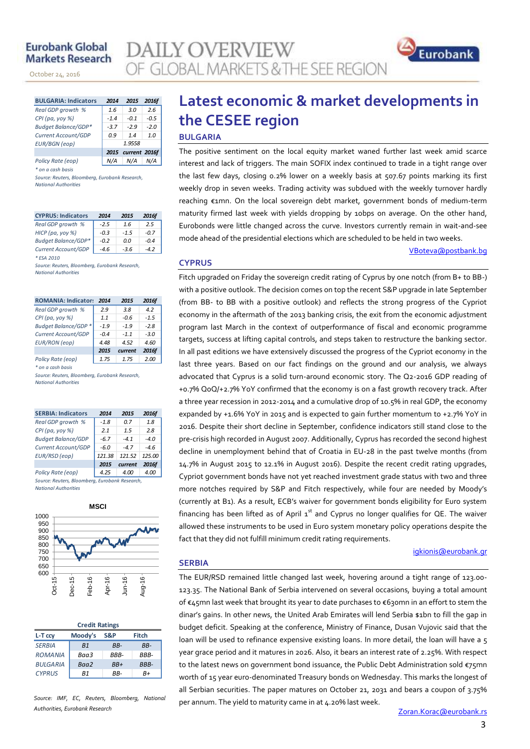## **Eurobank Global Markets Research**

November 14, 2013

October 24, 2016

| <b>BULGARIA: Indicators</b> | 2014   | 2015               | 2016f  |
|-----------------------------|--------|--------------------|--------|
| Real GDP growth %           | 1.6    | 3.0                | 2.6    |
| CPI (pa, yoy %)             | $-1.4$ | $-0.1$             | $-0.5$ |
| Budget Balance/GDP*         | $-3.7$ | $-2.9$             | $-2.0$ |
| Current Account/GDP         | 0.9    | 14                 | 1.0    |
| <b>EUR/BGN</b> (eop)        |        | 1.9558             |        |
|                             |        | 2015 current 2016f |        |
| Policy Rate (eop)           |        | N/A                |        |

*\* on a cash basis*

*Source: Reuters, Bloomberg, Eurobank Research, National Authorities*

| <b>CYPRUS: Indicators</b>  | 2014   | 2015   | 2016f  |
|----------------------------|--------|--------|--------|
| Real GDP growth %          | $-2.5$ | 1.6    | 2.5    |
| НІСР (ра, уоу %)           | $-0.3$ | $-1.5$ | $-0.7$ |
| <b>Budget Balance/GDP*</b> | $-0.2$ | 0.0    | $-0.4$ |
| Current Account/GDP        | $-4.6$ | $-3.6$ | $-4.2$ |
| * ESA 2010                 |        |        |        |

*Source: Reuters, Bloomberg, Eurobank Research, National Authorities*

| <b>ROMANIA: Indicators</b> | 2014   | 2015    | 2016f  |
|----------------------------|--------|---------|--------|
| Real GDP growth %          | 2.9    | 3.8     | 4.2    |
| CPI (pa, yoy %)            | 1.1    | -0.6    | $-1.5$ |
| Budget Balance/GDP *       | $-1.9$ | $-1.9$  | $-2.8$ |
| Current Account/GDP        | $-0.4$ | $-11$   | $-3.0$ |
| <b>EUR/RON</b> (eop)       | 4.48   | 4.52    | 4.60   |
|                            | 2015   | current | 2016f  |
| Policy Rate (eop)          | 1.75   | 1.75    | 2.00   |

*\* on a cash basis*

*Source: Reuters, Bloomberg, Eurobank Research, National Authorities*

| <b>SERBIA: Indicators</b>                      | 2014   | 2015    | 2016f  |  |  |  |  |
|------------------------------------------------|--------|---------|--------|--|--|--|--|
| Real GDP growth %                              | $-1.8$ | 0.7     | 1.8    |  |  |  |  |
| $CPI(pa, yoy \%)$                              | 2.1    | 1.5     | 2.8    |  |  |  |  |
| <b>Budget Balance/GDP</b>                      | $-6.7$ | $-41$   | $-4.0$ |  |  |  |  |
| Current Account/GDP                            | $-6.0$ | $-47$   | $-4.6$ |  |  |  |  |
| EUR/RSD (eop)                                  | 121.38 | 121.52  | 125.00 |  |  |  |  |
|                                                | 2015   | current | 2016f  |  |  |  |  |
| Policy Rate (eop)                              | 4.25   | 4.00    | 4.00   |  |  |  |  |
| Source: Reuters, Bloomberg, Eurobank Research, |        |         |        |  |  |  |  |

*National Authorities*



| <b>Credit Ratings</b> |                |      |       |  |  |  |  |  |  |
|-----------------------|----------------|------|-------|--|--|--|--|--|--|
| L-T ccy               | Moody's        | S&P  | Fitch |  |  |  |  |  |  |
| <b>SERBIA</b>         | B <sub>1</sub> | RR-  | RR-   |  |  |  |  |  |  |
| <b>ROMANIA</b>        | Ваа3           | RRR- | RRR-  |  |  |  |  |  |  |
| <b>BULGARIA</b>       | Baa2           | RR+  | BBB-  |  |  |  |  |  |  |
| <b>CYPRUS</b>         | R1             | RR-  | R+    |  |  |  |  |  |  |

*Source: IMF, EC, Reuters, Bloomberg, National Authorities, Eurobank Research*

# **Latest economic & market developments in the CESEE region BULGARIA**

The positive sentiment on the local equity market waned further last week amid scarce interest and lack of triggers. The main SOFIX index continued to trade in a tight range over the last few days, closing 0.2% lower on a weekly basis at 507.67 points marking its first weekly drop in seven weeks. Trading activity was subdued with the weekly turnover hardly reaching €1mn. On the local sovereign debt market, government bonds of medium-term maturity firmed last week with yields dropping by 10bps on average. On the other hand, Eurobonds were little changed across the curve. Investors currently remain in wait-and-see mode ahead of the presidential elections which are scheduled to be held in two weeks.

### [VBoteva@postbank.bg](mailto:VBoteva@postbank.bg)

Eurobank

### **CYPRUS**

**AILY OVERVIEW** 

OF GLOBAL MARKETS & THE SEE REGION

Fitch upgraded on Friday the sovereign credit rating of Cyprus by one notch (from B+ to BB-) with a positive outlook. The decision comes on top the recent S&P upgrade in late September (from BB- to BB with a positive outlook) and reflects the strong progress of the Cypriot economy in the aftermath of the 2013 banking crisis, the exit from the economic adjustment program last March in the context of outperformance of fiscal and economic programme targets, success at lifting capital controls, and steps taken to restructure the banking sector. In all past editions we have extensively discussed the progress of the Cypriot economy in the last three years. Based on our fact findings on the ground and our analysis, we always advocated that Cyprus is a solid turn-around economic story. The Q2-2016 GDP reading of +0.7% QoQ/+2.7% YoY confirmed that the economy is on a fast growth recovery track. After a three year recession in 2012-2014 and a cumulative drop of 10.5% in real GDP, the economy expanded by +1.6% YoY in 2015 and is expected to gain further momentum to +2.7% YoY in 2016. Despite their short decline in September, confidence indicators still stand close to the pre-crisis high recorded in August 2007. Additionally, Cyprus has recorded the second highest decline in unemployment behind that of Croatia in EU-28 in the past twelve months (from 14.7% in August 2015 to 12.1% in August 2016). Despite the recent credit rating upgrades, Cypriot government bonds have not yet reached investment grade status with two and three more notches required by S&P and Fitch respectively, while four are needed by Moody's (currently at B1). As a result, ECB's waiver for government bonds eligibility for Euro system financing has been lifted as of April  $1<sup>st</sup>$  and Cyprus no longer qualifies for QE. The waiver allowed these instruments to be used in Euro system monetary policy operations despite the fact that they did not fulfill minimum credit rating requirements.

### [igkionis@eurobank.gr](mailto:gkionis@eurobank.gr)

## **SERBIA**

The EUR/RSD remained little changed last week, hovering around a tight range of 123.00- 123.35. The National Bank of Serbia intervened on several occasions, buying a total amount of €45mn last week that brought its year to date purchases to €630mn in an effort to stem the dinar's gains. In other news, the United Arab Emirates will lend Serbia \$1bn to fill the gap in budget deficit. Speaking at the conference, Ministry of Finance, Dusan Vujovic said that the loan will be used to refinance expensive existing loans. In more detail, the loan will have a 5 year grace period and it matures in 2026. Also, it bears an interest rate of 2.25%. With respect to the latest news on government bond issuance, the Public Debt Administration sold €75mn worth of 15 year euro-denominated Treasury bonds on Wednesday. This marks the longest of all Serbian securities. The paper matures on October 21, 2031 and bears a coupon of 3.75% per annum. The yield to maturity came in at 4.20% last week.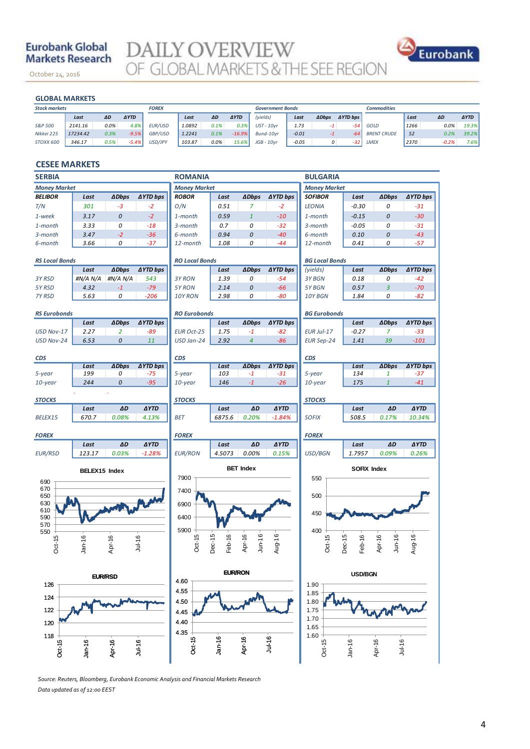# **Eurobank Global Markets Research**

October 24, 2016

**DAILY OVERVIEW**<br>OF GLOBAL MARKETS & THE SEE REGION



### **GLOBAL MARKETS**

November 14, 2013

| <b>GLOBAL MARKETS</b> |          |      |             |              |        |      |             |                         |         |              |                 |                    |      |         |             |
|-----------------------|----------|------|-------------|--------------|--------|------|-------------|-------------------------|---------|--------------|-----------------|--------------------|------|---------|-------------|
| <b>Stock markets</b>  |          |      |             | <b>FOREX</b> |        |      |             | <b>Government Bonds</b> |         |              |                 | <b>Commodities</b> |      |         |             |
|                       | Last     | ΔD   | <b>AYTD</b> |              | Last   | ΔD   | <b>AYTD</b> | (yields)                | Last    | <b>ADbps</b> | <b>AYTD bps</b> |                    | Last | ΔD      | <b>AYTD</b> |
| S&P 500               | 2141.16  | 0.0% | 4.8%        | EUR/USD      | 1.0892 | 0.1% | 0.3%        | $UST - 10yr$            | 1.73    |              | $-54$           | GOLD               | 1266 | 0.0%    | 19.3%       |
| Nikkei 225            | 17234.42 | 0.3% | $-9.5%$     | GBP/USD      | 1.2241 | 0.1% | $-16.9%$    | Bund-10vr               | $-0.01$ | -1           | -64             | <b>BRENT CRUDE</b> | 52   | 0.2%    | 39.2%       |
| STOXX 600             | 346.17   | 0.5% | $-5.4%$     | USD/JPY      | 103.87 | 0.0% | 15.6%       | $JGB - 10vr$            | $-0.05$ | 0            | $-32$           | LMEX               | 2370 | $-0.2%$ | 7.6%        |

### **CESEE MARKETS**

| <b>SERBIA</b>            |               |                     |                 | <b>ROMANIA</b>                         |                          |                        |                 | <b>BULGARIA</b>                 |                  |                      |                 |  |
|--------------------------|---------------|---------------------|-----------------|----------------------------------------|--------------------------|------------------------|-----------------|---------------------------------|------------------|----------------------|-----------------|--|
| <b>Money Market</b>      |               |                     |                 | <b>Money Market</b>                    |                          |                        |                 | <b>Money Market</b>             |                  |                      |                 |  |
| <b>BELIBOR</b>           | Last          | <b>ADbps</b>        | <b>AYTD bps</b> | <b>ROBOR</b>                           | Last                     | <b>ADbps</b>           | ∆YTD bps        | <b>SOFIBOR</b>                  | Last             | <b>ADbps</b>         | ∆YTD bps        |  |
| T/N                      | 301           | $-3$                | $-2$            | O/N                                    | 0.51                     | $\overline{z}$         | $-2$            | <b>LEONIA</b>                   | $-0.30$          | 0                    | $-31$           |  |
| 1-week                   | 3.17          | 0                   | $-2$            | 1-month                                | 0.59                     | $\mathbf{1}$           | $-10$           | 1-month                         | $-0.15$          | 0                    | $-30$           |  |
| 1-month                  | 3.33          | 0                   | $-18$           | 3-month                                | 0.7                      | 0                      | $-32$           | 3-month                         | $-0.05$          | 0                    | $-31$           |  |
| 3-month                  | 3.47          | $-2$                | $-36$           | 6-month                                | 0.94                     | 0                      | $-40$           | 6-month                         | 0.10             | 0                    | $-43$           |  |
| 6-month                  | 3.66          | 0                   | $-37$           | 12-month                               | 1.08                     | 0                      | $-44$           | 12-month                        | 0.41             | 0                    | $-57$           |  |
| <b>RS Local Bonds</b>    |               |                     |                 | <b>RO Local Bonds</b>                  |                          |                        |                 | <b>BG Local Bonds</b>           |                  |                      |                 |  |
|                          | Last          | <b>ADbps</b>        | ∆YTD bps        |                                        | Last                     | <b>ADbps</b>           | <b>∆YTD bps</b> | (yields)                        | Last             | <b>ADbps</b>         | <b>∆YTD bps</b> |  |
| 3Y RSD                   | #N/A N/A      | #N/A N/A            | 543             | 3Y RON                                 | 1.39                     | 0                      | $-54$           | 3Y BGN                          | 0.18             | 0                    | $-42$           |  |
| 5YRSD                    | 4.32          | $-1$                | $-79$           | 5Y RON                                 | 2.14                     | 0                      | $-66$           | 5Y BGN                          | 0.57             | 3                    | $-70$           |  |
| 7Y RSD                   | 5.63          | 0                   | $-206$          | 10Y RON                                | 2.98                     | 0                      | $-80$           | 10Y BGN                         | 1.84             | 0                    | $-82$           |  |
|                          |               |                     |                 |                                        |                          |                        |                 |                                 |                  |                      |                 |  |
| <b>RS Eurobonds</b>      |               |                     |                 | <b>RO Eurobonds</b>                    |                          |                        |                 | <b>BG Eurobonds</b>             |                  |                      |                 |  |
|                          | Last          | <b>ADbps</b>        | ∆YTD bps        |                                        | Last                     | <b>ADbps</b>           | <b>∆YTD bps</b> |                                 | Last             | <b>ADbps</b>         | <b>∆YTD bps</b> |  |
| USD Nov-17<br>USD Nov-24 | 2.27<br>6.53  | $\overline{2}$<br>0 | -89<br>11       | <b>EUR Oct-25</b><br>USD Jan-24        | 1.75<br>2.92             | $-1$<br>$\overline{4}$ | $-82$<br>$-86$  | EUR Jul-17<br><b>EUR Sep-24</b> | $-0.27$<br>1.41  | $\overline{z}$<br>39 | $-33$<br>$-101$ |  |
|                          |               |                     |                 |                                        |                          |                        |                 |                                 |                  |                      |                 |  |
| <b>CDS</b>               |               |                     |                 | <b>CDS</b>                             |                          |                        |                 | <b>CDS</b>                      |                  |                      |                 |  |
|                          | Last          | <b>ADbps</b>        | ∆YTD bps        |                                        | Last                     | <b>ADbps</b>           | ∆YTD bps        |                                 | Last             | <b>ADbps</b>         | <b>AYTD bps</b> |  |
| 5-year                   | 199           | 0                   | $-75$           | 5-year                                 | 103                      | $-1$                   | $-31$           | 5-year                          | 134              | 1                    | $-37$           |  |
| 10-year                  | 244           | 0                   | $-95$           | 10-year                                | 146                      | $-1$                   | $-26$           | $10$ -year                      | 175              | $\mathbf{1}$         | $-41$           |  |
| <b>STOCKS</b>            |               |                     |                 | <b>STOCKS</b>                          |                          |                        |                 | <b>STOCKS</b>                   |                  |                      |                 |  |
|                          | Last          | ΔD                  | <b>AYTD</b>     |                                        | Last                     | ΔD                     | <b>AYTD</b>     |                                 | Last             | ΔD                   | <b>AYTD</b>     |  |
| BELEX15                  | 670.7         | 0.08%               | 4.13%           | <b>BET</b>                             | 6875.6                   | 0.20%                  | $-1.84%$        | <b>SOFIX</b>                    | 508.5            | 0.17%                | 10.34%          |  |
| <b>FOREX</b>             |               |                     |                 | <b>FOREX</b>                           |                          |                        |                 | <b>FOREX</b>                    |                  |                      |                 |  |
|                          | Last          | ΔD                  | <b>AYTD</b>     |                                        | Last                     | ΔD                     | <b>AYTD</b>     |                                 | Last             | ΔD                   | <b>AYTD</b>     |  |
| <b>EUR/RSD</b>           | 123.17        | 0.03%               | $-1.28%$        | <b>EUR/RON</b>                         | 4.5073                   | 0.00%                  | 0.15%           | <b>USD/BGN</b>                  | 1.7957           | 0.09%                | 0.26%           |  |
|                          |               |                     |                 | <b>BET Index</b><br><b>SOFIX Index</b> |                          |                        |                 |                                 |                  |                      |                 |  |
|                          | BELEX15 Index |                     |                 | 7900                                   |                          |                        |                 | 550                             |                  |                      |                 |  |
| 690<br>670               |               |                     |                 | 7400                                   |                          |                        |                 |                                 |                  |                      |                 |  |
| 650                      |               |                     |                 |                                        |                          |                        |                 | 500                             |                  |                      |                 |  |
| 630                      |               |                     |                 | 6900                                   |                          |                        |                 |                                 |                  |                      |                 |  |
| 610<br>590               |               |                     |                 | 6400                                   |                          |                        |                 | 450                             |                  |                      |                 |  |
| 570                      |               |                     |                 |                                        |                          |                        |                 |                                 |                  |                      |                 |  |
| 550                      |               |                     |                 | 5900                                   |                          |                        |                 | 400                             |                  |                      |                 |  |
| Oct-15                   | $Jan-16$      | Apr-16              | Jul-16          | Oct-15                                 | Dec-15 $\cdot$<br>Feb-16 | Apr-16<br>$J$ un-16    | Aug-16          | Oct-15                          | Dec-15<br>Feb-16 | Apr-16<br>$J$ un-16  | Aug-16          |  |
|                          |               |                     |                 |                                        |                          |                        |                 |                                 |                  |                      |                 |  |
|                          |               |                     |                 |                                        |                          |                        |                 |                                 |                  |                      |                 |  |
| 126                      |               | <b>EUR/RSD</b>      |                 | 4.60                                   | <b>EUR/RON</b>           |                        |                 | 1.90                            | <b>USD/BGN</b>   |                      |                 |  |
|                          |               |                     |                 | 4.55                                   |                          |                        |                 | 1.85                            |                  |                      |                 |  |
| 124                      |               |                     |                 | 4.50                                   |                          |                        |                 | 1.80                            |                  |                      |                 |  |
| 122                      |               |                     |                 | 4.45                                   |                          |                        |                 | 1.75                            |                  |                      |                 |  |
| 120                      |               |                     |                 | 4.40                                   |                          |                        |                 | 1.70                            |                  |                      |                 |  |
|                          |               |                     |                 | 4.35                                   |                          |                        |                 | 1.65                            |                  |                      |                 |  |
| 118                      |               |                     |                 |                                        |                          |                        |                 | 1.60                            |                  |                      |                 |  |
| Oct-15                   | $Jan-16$      | Apr-16              | Jul-16          | Oct-15                                 | $Jan-16$                 | Apr-16                 | Jul-16          | Oct-15                          | $Jan-16$         | Jul-16<br>Apr-16     |                 |  |
|                          |               |                     |                 |                                        |                          |                        |                 |                                 |                  |                      |                 |  |

*Source: Reuters, Bloomberg, Eurobank Economic Analysis and Financial Markets Research Data updated as of 12:00 EEST*